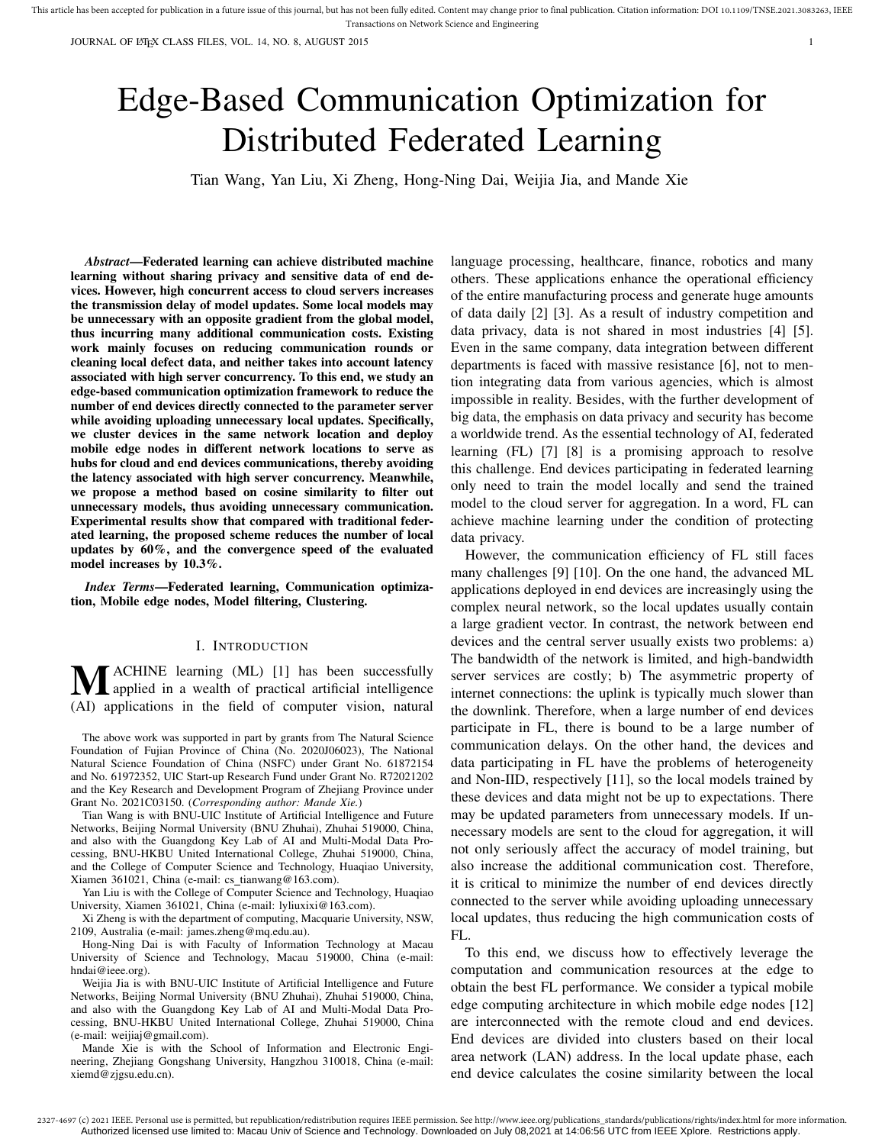JOURNAL OF LATEX CLASS FILES, VOL. 14, NO. 8, AUGUST 2015 1

# Edge-Based Communication Optimization for Distributed Federated Learning

Tian Wang, Yan Liu, Xi Zheng, Hong-Ning Dai, Weijia Jia, and Mande Xie

*Abstract*—Federated learning can achieve distributed machine learning without sharing privacy and sensitive data of end devices. However, high concurrent access to cloud servers increases the transmission delay of model updates. Some local models may be unnecessary with an opposite gradient from the global model, thus incurring many additional communication costs. Existing work mainly focuses on reducing communication rounds or cleaning local defect data, and neither takes into account latency associated with high server concurrency. To this end, we study an edge-based communication optimization framework to reduce the number of end devices directly connected to the parameter server while avoiding uploading unnecessary local updates. Specifically, we cluster devices in the same network location and deploy mobile edge nodes in different network locations to serve as hubs for cloud and end devices communications, thereby avoiding the latency associated with high server concurrency. Meanwhile, we propose a method based on cosine similarity to filter out unnecessary models, thus avoiding unnecessary communication. Experimental results show that compared with traditional federated learning, the proposed scheme reduces the number of local updates by 60%, and the convergence speed of the evaluated model increases by 10.3%.

*Index Terms*—Federated learning, Communication optimization, Mobile edge nodes, Model filtering, Clustering.

## I. INTRODUCTION

**MACHINE** learning (ML) [1] has been successfully applied in a wealth of practical artificial intelligence (AI) applications in the field of computer vision, natural

The above work was supported in part by grants from The Natural Science Foundation of Fujian Province of China (No. 2020J06023), The National Natural Science Foundation of China (NSFC) under Grant No. 61872154 and No. 61972352, UIC Start-up Research Fund under Grant No. R72021202 and the Key Research and Development Program of Zhejiang Province under Grant No. 2021C03150. (*Corresponding author: Mande Xie.*)

Tian Wang is with BNU-UIC Institute of Artificial Intelligence and Future Networks, Beijing Normal University (BNU Zhuhai), Zhuhai 519000, China, and also with the Guangdong Key Lab of AI and Multi-Modal Data Processing, BNU-HKBU United International College, Zhuhai 519000, China, and the College of Computer Science and Technology, Huaqiao University, Xiamen 361021, China (e-mail: cs\_tianwang@163.com).

Yan Liu is with the College of Computer Science and Technology, Huaqiao University, Xiamen 361021, China (e-mail: lyliuxixi@163.com).

Xi Zheng is with the department of computing, Macquarie University, NSW, 2109, Australia (e-mail: james.zheng@mq.edu.au).

Hong-Ning Dai is with Faculty of Information Technology at Macau University of Science and Technology, Macau 519000, China (e-mail: hndai@ieee.org).

Weijia Jia is with BNU-UIC Institute of Artificial Intelligence and Future Networks, Beijing Normal University (BNU Zhuhai), Zhuhai 519000, China, and also with the Guangdong Key Lab of AI and Multi-Modal Data Processing, BNU-HKBU United International College, Zhuhai 519000, China (e-mail: weijiaj@gmail.com).

Mande Xie is with the School of Information and Electronic Engineering, Zhejiang Gongshang University, Hangzhou 310018, China (e-mail: xiemd@zjgsu.edu.cn).

language processing, healthcare, finance, robotics and many others. These applications enhance the operational efficiency of the entire manufacturing process and generate huge amounts of data daily [2] [3]. As a result of industry competition and data privacy, data is not shared in most industries [4] [5]. Even in the same company, data integration between different departments is faced with massive resistance [6], not to mention integrating data from various agencies, which is almost impossible in reality. Besides, with the further development of big data, the emphasis on data privacy and security has become a worldwide trend. As the essential technology of AI, federated learning (FL) [7] [8] is a promising approach to resolve this challenge. End devices participating in federated learning only need to train the model locally and send the trained model to the cloud server for aggregation. In a word, FL can achieve machine learning under the condition of protecting data privacy.

However, the communication efficiency of FL still faces many challenges [9] [10]. On the one hand, the advanced ML applications deployed in end devices are increasingly using the complex neural network, so the local updates usually contain a large gradient vector. In contrast, the network between end devices and the central server usually exists two problems: a) The bandwidth of the network is limited, and high-bandwidth server services are costly; b) The asymmetric property of internet connections: the uplink is typically much slower than the downlink. Therefore, when a large number of end devices participate in FL, there is bound to be a large number of communication delays. On the other hand, the devices and data participating in FL have the problems of heterogeneity and Non-IID, respectively [11], so the local models trained by these devices and data might not be up to expectations. There may be updated parameters from unnecessary models. If unnecessary models are sent to the cloud for aggregation, it will not only seriously affect the accuracy of model training, but also increase the additional communication cost. Therefore, it is critical to minimize the number of end devices directly connected to the server while avoiding uploading unnecessary local updates, thus reducing the high communication costs of  $FL.$ 

To this end, we discuss how to effectively leverage the computation and communication resources at the edge to obtain the best FL performance. We consider a typical mobile edge computing architecture in which mobile edge nodes [12] are interconnected with the remote cloud and end devices. End devices are divided into clusters based on their local area network (LAN) address. In the local update phase, each end device calculates the cosine similarity between the local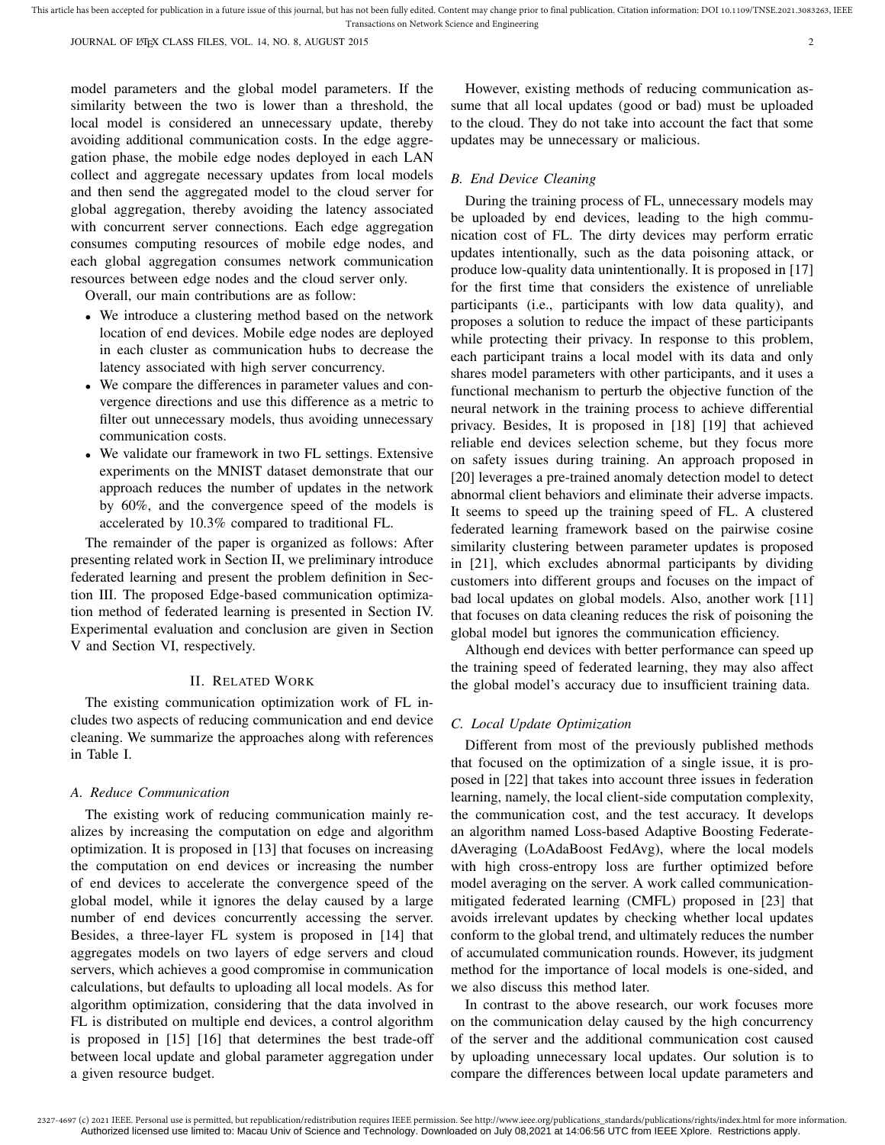JOURNAL OF LATEX CLASS FILES, VOL. 14, NO. 8, AUGUST 2015 2015

model parameters and the global model parameters. If the similarity between the two is lower than a threshold, the local model is considered an unnecessary update, thereby avoiding additional communication costs. In the edge aggregation phase, the mobile edge nodes deployed in each LAN collect and aggregate necessary updates from local models and then send the aggregated model to the cloud server for global aggregation, thereby avoiding the latency associated with concurrent server connections. Each edge aggregation consumes computing resources of mobile edge nodes, and each global aggregation consumes network communication resources between edge nodes and the cloud server only.

Overall, our main contributions are as follow:

- We introduce a clustering method based on the network location of end devices. Mobile edge nodes are deployed in each cluster as communication hubs to decrease the latency associated with high server concurrency.
- We compare the differences in parameter values and convergence directions and use this difference as a metric to filter out unnecessary models, thus avoiding unnecessary communication costs.
- We validate our framework in two FL settings. Extensive experiments on the MNIST dataset demonstrate that our approach reduces the number of updates in the network by 60%, and the convergence speed of the models is accelerated by 10.3% compared to traditional FL.

The remainder of the paper is organized as follows: After presenting related work in Section II, we preliminary introduce federated learning and present the problem definition in Section III. The proposed Edge-based communication optimization method of federated learning is presented in Section IV. Experimental evaluation and conclusion are given in Section V and Section VI, respectively.

#### II. RELATED WORK

The existing communication optimization work of FL includes two aspects of reducing communication and end device cleaning. We summarize the approaches along with references in Table I.

#### *A. Reduce Communication*

The existing work of reducing communication mainly realizes by increasing the computation on edge and algorithm optimization. It is proposed in [13] that focuses on increasing the computation on end devices or increasing the number of end devices to accelerate the convergence speed of the global model, while it ignores the delay caused by a large number of end devices concurrently accessing the server. Besides, a three-layer FL system is proposed in [14] that aggregates models on two layers of edge servers and cloud servers, which achieves a good compromise in communication calculations, but defaults to uploading all local models. As for algorithm optimization, considering that the data involved in FL is distributed on multiple end devices, a control algorithm is proposed in [15] [16] that determines the best trade-off between local update and global parameter aggregation under a given resource budget.

However, existing methods of reducing communication assume that all local updates (good or bad) must be uploaded to the cloud. They do not take into account the fact that some updates may be unnecessary or malicious.

### *B. End Device Cleaning*

During the training process of FL, unnecessary models may be uploaded by end devices, leading to the high communication cost of FL. The dirty devices may perform erratic updates intentionally, such as the data poisoning attack, or produce low-quality data unintentionally. It is proposed in [17] for the first time that considers the existence of unreliable participants (i.e., participants with low data quality), and proposes a solution to reduce the impact of these participants while protecting their privacy. In response to this problem, each participant trains a local model with its data and only shares model parameters with other participants, and it uses a functional mechanism to perturb the objective function of the neural network in the training process to achieve differential privacy. Besides, It is proposed in [18] [19] that achieved reliable end devices selection scheme, but they focus more on safety issues during training. An approach proposed in [20] leverages a pre-trained anomaly detection model to detect abnormal client behaviors and eliminate their adverse impacts. It seems to speed up the training speed of FL. A clustered federated learning framework based on the pairwise cosine similarity clustering between parameter updates is proposed in [21], which excludes abnormal participants by dividing customers into different groups and focuses on the impact of bad local updates on global models. Also, another work [11] that focuses on data cleaning reduces the risk of poisoning the global model but ignores the communication efficiency.

Although end devices with better performance can speed up the training speed of federated learning, they may also affect the global model's accuracy due to insufficient training data.

## *C. Local Update Optimization*

Different from most of the previously published methods that focused on the optimization of a single issue, it is proposed in [22] that takes into account three issues in federation learning, namely, the local client-side computation complexity, the communication cost, and the test accuracy. It develops an algorithm named Loss-based Adaptive Boosting FederatedAveraging (LoAdaBoost FedAvg), where the local models with high cross-entropy loss are further optimized before model averaging on the server. A work called communicationmitigated federated learning (CMFL) proposed in [23] that avoids irrelevant updates by checking whether local updates conform to the global trend, and ultimately reduces the number of accumulated communication rounds. However, its judgment method for the importance of local models is one-sided, and we also discuss this method later.

In contrast to the above research, our work focuses more on the communication delay caused by the high concurrency of the server and the additional communication cost caused by uploading unnecessary local updates. Our solution is to compare the differences between local update parameters and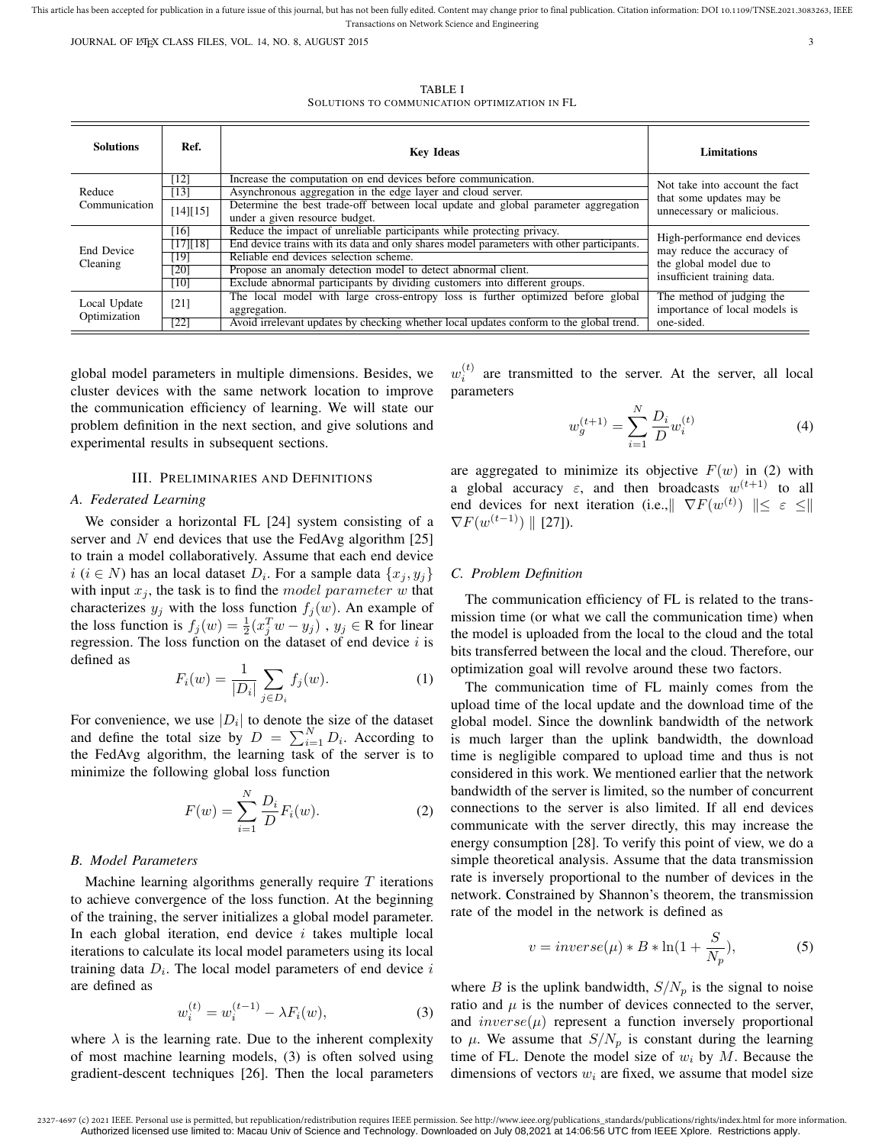JOURNAL OF LATEX CLASS FILES, VOL. 14, NO. 8, AUGUST 2015 33

TABLE I SOLUTIONS TO COMMUNICATION OPTIMIZATION IN FL

| <b>Solutions</b>             | Ref.             | <b>Key Ideas</b>                                                                          | <b>Limitations</b>                                                                      |  |
|------------------------------|------------------|-------------------------------------------------------------------------------------------|-----------------------------------------------------------------------------------------|--|
| Reduce<br>Communication      | [12]             | Increase the computation on end devices before communication.                             | Not take into account the fact<br>that some updates may be<br>unnecessary or malicious. |  |
|                              | [13]             | Asynchronous aggregation in the edge layer and cloud server.                              |                                                                                         |  |
|                              | [14][15]         | Determine the best trade-off between local update and global parameter aggregation        |                                                                                         |  |
|                              |                  | under a given resource budget.                                                            |                                                                                         |  |
| End Device<br>Cleaning       | [16]             | Reduce the impact of unreliable participants while protecting privacy.                    | High-performance end devices<br>may reduce the accuracy of                              |  |
|                              | [17] [18]        | End device trains with its data and only shares model parameters with other participants. |                                                                                         |  |
|                              | [19]             | Reliable end devices selection scheme.                                                    | the global model due to                                                                 |  |
|                              | [20]             | Propose an anomaly detection model to detect abnormal client.                             | insufficient training data.                                                             |  |
|                              | $\overline{10}$  | Exclude abnormal participants by dividing customers into different groups.                |                                                                                         |  |
| Local Update<br>Optimization | [21]             | The local model with large cross-entropy loss is further optimized before global          | The method of judging the                                                               |  |
|                              |                  | aggregation.                                                                              | importance of local models is                                                           |  |
|                              | $\overline{221}$ | Avoid irrelevant updates by checking whether local updates conform to the global trend.   | one-sided.                                                                              |  |

global model parameters in multiple dimensions. Besides, we cluster devices with the same network location to improve the communication efficiency of learning. We will state our problem definition in the next section, and give solutions and experimental results in subsequent sections.

## III. PRELIMINARIES AND DEFINITIONS

## *A. Federated Learning*

We consider a horizontal FL [24] system consisting of a server and  $N$  end devices that use the FedAvg algorithm [25] to train a model collaboratively. Assume that each end device  $i$  ( $i \in N$ ) has an local dataset  $D_i$ . For a sample data  $\{x_j, y_j\}$ with input  $x_i$ , the task is to find the model parameter w that characterizes  $y_j$  with the loss function  $f_j(w)$ . An example of the loss function is  $f_j(w) = \frac{1}{2}(x_j^T w - y_j)$ ,  $y_j \in \mathbb{R}$  for linear regression. The loss function on the dataset of end device  $i$  is defined as

$$
F_i(w) = \frac{1}{|D_i|} \sum_{j \in D_i} f_j(w).
$$
 (1)

For convenience, we use  $|D_i|$  to denote the size of the dataset and define the total size by  $D = \sum_{i=1}^{N} D_i$ . According to the FedAvg algorithm, the learning task of the server is to minimize the following global loss function

$$
F(w) = \sum_{i=1}^{N} \frac{D_i}{D} F_i(w).
$$
 (2)

#### *B. Model Parameters*

Machine learning algorithms generally require  $T$  iterations to achieve convergence of the loss function. At the beginning of the training, the server initializes a global model parameter. In each global iteration, end device  $i$  takes multiple local iterations to calculate its local model parameters using its local training data  $D_i$ . The local model parameters of end device  $i$ are defined as

$$
w_i^{(t)} = w_i^{(t-1)} - \lambda F_i(w), \tag{3}
$$

where  $\lambda$  is the learning rate. Due to the inherent complexity of most machine learning models, (3) is often solved using gradient-descent techniques [26]. Then the local parameters

 $w_i^{(t)}$ are transmitted to the server. At the server, all local parameters

$$
w_g^{(t+1)} = \sum_{i=1}^{N} \frac{D_i}{D} w_i^{(t)}
$$
(4)

are aggregated to minimize its objective  $F(w)$  in (2) with a global accuracy  $\varepsilon$ , and then broadcasts  $w^{(t+1)}$  to all end devices for next iteration (i.e., $\|\nabla F(w^{(t)})\| \leq \varepsilon \leq \ell$  $\nabla F(w^{(t-1)}) \parallel$  [27]).

## *C. Problem Definition*

The communication efficiency of FL is related to the transmission time (or what we call the communication time) when the model is uploaded from the local to the cloud and the total bits transferred between the local and the cloud. Therefore, our optimization goal will revolve around these two factors.

The communication time of FL mainly comes from the upload time of the local update and the download time of the global model. Since the downlink bandwidth of the network is much larger than the uplink bandwidth, the download time is negligible compared to upload time and thus is not considered in this work. We mentioned earlier that the network bandwidth of the server is limited, so the number of concurrent connections to the server is also limited. If all end devices communicate with the server directly, this may increase the energy consumption [28]. To verify this point of view, we do a simple theoretical analysis. Assume that the data transmission rate is inversely proportional to the number of devices in the network. Constrained by Shannon's theorem, the transmission rate of the model in the network is defined as

$$
v = inverse(\mu) * B * \ln(1 + \frac{S}{N_p}),
$$
\n(5)

where B is the uplink bandwidth,  $S/N_p$  is the signal to noise ratio and  $\mu$  is the number of devices connected to the server, and  $inverse(\mu)$  represent a function inversely proportional to  $\mu$ . We assume that  $S/N_p$  is constant during the learning time of FL. Denote the model size of  $w_i$  by M. Because the dimensions of vectors  $w_i$  are fixed, we assume that model size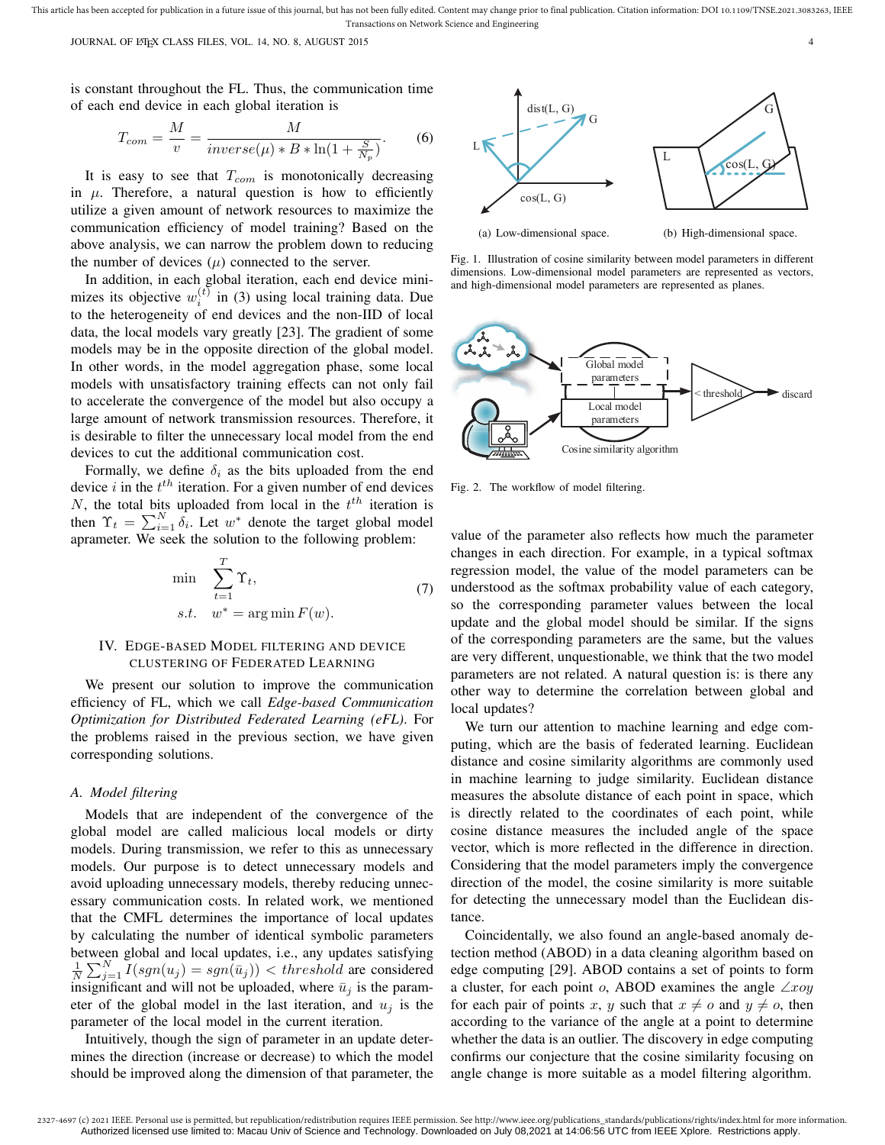JOURNAL OF LATEX CLASS FILES, VOL. 14, NO. 8, AUGUST 2015 4

is constant throughout the FL. Thus, the communication time of each end device in each global iteration is

$$
T_{com} = \frac{M}{v} = \frac{M}{inverse(\mu) * B * \ln(1 + \frac{S}{N_p})}.
$$
 (6)

It is easy to see that  $T_{com}$  is monotonically decreasing in  $\mu$ . Therefore, a natural question is how to efficiently utilize a given amount of network resources to maximize the communication efficiency of model training? Based on the above analysis, we can narrow the problem down to reducing the number of devices  $(\mu)$  connected to the server.

In addition, in each global iteration, each end device minimizes its objective  $w_i^{(t)}$  in (3) using local training data. Due to the heterogeneity of end devices and the non-IID of local data, the local models vary greatly [23]. The gradient of some models may be in the opposite direction of the global model. In other words, in the model aggregation phase, some local models with unsatisfactory training effects can not only fail to accelerate the convergence of the model but also occupy a large amount of network transmission resources. Therefore, it is desirable to filter the unnecessary local model from the end devices to cut the additional communication cost.

Formally, we define  $\delta_i$  as the bits uploaded from the end device i in the  $t^{th}$  iteration. For a given number of end devices N, the total bits uploaded from local in the  $t^{th}$  iteration is then  $\Upsilon_t = \sum_{i=1}^N \delta_i$ . Let  $w^*$  denote the target global model aprameter. We seek the solution to the following problem:

$$
\min \sum_{t=1}^{T} \Upsilon_t,
$$
  
s.t.  $w^* = \arg \min F(w).$  (7)

# IV. EDGE-BASED MODEL FILTERING AND DEVICE CLUSTERING OF FEDERATED LEARNING

We present our solution to improve the communication efficiency of FL, which we call *Edge-based Communication Optimization for Distributed Federated Learning (eFL)*. For the problems raised in the previous section, we have given corresponding solutions.

#### *A. Model filtering*

Models that are independent of the convergence of the global model are called malicious local models or dirty models. During transmission, we refer to this as unnecessary models. Our purpose is to detect unnecessary models and avoid uploading unnecessary models, thereby reducing unnecessary communication costs. In related work, we mentioned that the CMFL determines the importance of local updates by calculating the number of identical symbolic parameters between global and local updates, i.e., any updates satisfying  $\frac{1}{N} \sum_{j=1}^{N} I(sgn(u_j) = sgn(\bar{u}_j))$  < threshold are considered insignificant and will not be uploaded, where  $\bar{u}_j$  is the parameter of the global model in the last iteration, and  $u_i$  is the parameter of the local model in the current iteration.

Intuitively, though the sign of parameter in an update determines the direction (increase or decrease) to which the model should be improved along the dimension of that parameter, the



Fig. 1. Illustration of cosine similarity between model parameters in different dimensions. Low-dimensional model parameters are represented as vectors, and high-dimensional model parameters are represented as planes.



Fig. 2. The workflow of model filtering.

value of the parameter also reflects how much the parameter changes in each direction. For example, in a typical softmax regression model, the value of the model parameters can be understood as the softmax probability value of each category, so the corresponding parameter values between the local update and the global model should be similar. If the signs of the corresponding parameters are the same, but the values are very different, unquestionable, we think that the two model parameters are not related. A natural question is: is there any other way to determine the correlation between global and local updates?

We turn our attention to machine learning and edge computing, which are the basis of federated learning. Euclidean distance and cosine similarity algorithms are commonly used in machine learning to judge similarity. Euclidean distance measures the absolute distance of each point in space, which is directly related to the coordinates of each point, while cosine distance measures the included angle of the space vector, which is more reflected in the difference in direction. Considering that the model parameters imply the convergence direction of the model, the cosine similarity is more suitable for detecting the unnecessary model than the Euclidean distance.

Coincidentally, we also found an angle-based anomaly detection method (ABOD) in a data cleaning algorithm based on edge computing [29]. ABOD contains a set of points to form a cluster, for each point o, ABOD examines the angle  $\angle xoy$ for each pair of points x, y such that  $x \neq o$  and  $y \neq o$ , then according to the variance of the angle at a point to determine whether the data is an outlier. The discovery in edge computing confirms our conjecture that the cosine similarity focusing on angle change is more suitable as a model filtering algorithm.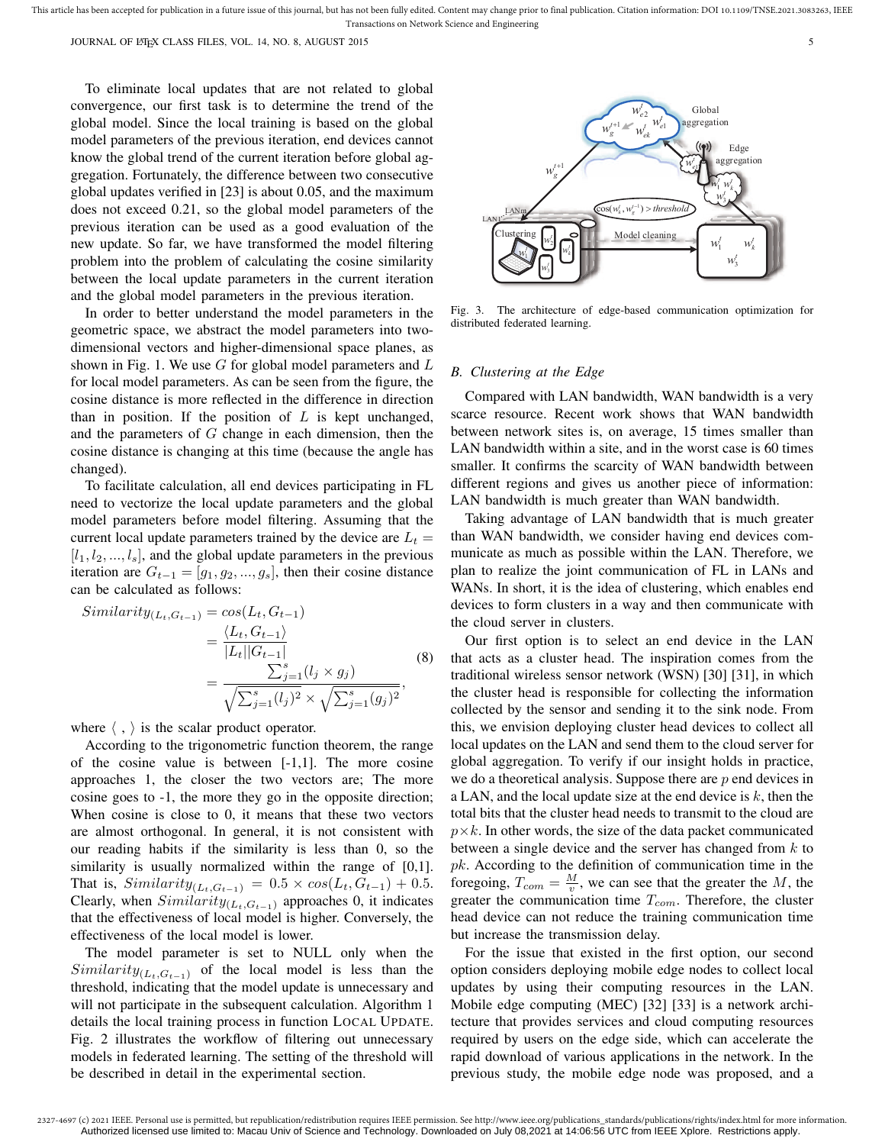JOURNAL OF LATEX CLASS FILES, VOL. 14, NO. 8, AUGUST 2015 55 SALUST 101 STEVEN ASSEMBLED FOR STEVEN ASSEMBLED TO A STEVEN ASSEMBLED FOR STEVEN ASSEMBLED FOR STEVEN ASSEMBLED FOR STEVEN ASSEMBLED FOR STEVEN ASSEMBLED FOR ST

To eliminate local updates that are not related to global convergence, our first task is to determine the trend of the global model. Since the local training is based on the global model parameters of the previous iteration, end devices cannot know the global trend of the current iteration before global aggregation. Fortunately, the difference between two consecutive global updates verified in [23] is about 0.05, and the maximum does not exceed 0.21, so the global model parameters of the previous iteration can be used as a good evaluation of the new update. So far, we have transformed the model filtering problem into the problem of calculating the cosine similarity between the local update parameters in the current iteration and the global model parameters in the previous iteration.

In order to better understand the model parameters in the geometric space, we abstract the model parameters into twodimensional vectors and higher-dimensional space planes, as shown in Fig. 1. We use  $G$  for global model parameters and  $L$ for local model parameters. As can be seen from the figure, the cosine distance is more reflected in the difference in direction than in position. If the position of  $L$  is kept unchanged, and the parameters of G change in each dimension, then the cosine distance is changing at this time (because the angle has changed).

To facilitate calculation, all end devices participating in FL need to vectorize the local update parameters and the global model parameters before model filtering. Assuming that the current local update parameters trained by the device are  $L_t =$  $[l_1, l_2, ..., l_s]$ , and the global update parameters in the previous iteration are  $G_{t-1} = [g_1, g_2, ..., g_s]$ , then their cosine distance can be calculated as follows:

$$
Similarity_{(L_t, G_{t-1})} = cos(L_t, G_{t-1})
$$
  
= 
$$
\frac{\langle L_t, G_{t-1} \rangle}{|L_t||G_{t-1}|}
$$
  
= 
$$
\frac{\sum_{j=1}^s (l_j \times g_j)}{\sqrt{\sum_{j=1}^s (l_j)^2} \times \sqrt{\sum_{j=1}^s (g_j)^2}},
$$
(8)

where  $\langle , \rangle$  is the scalar product operator.

According to the trigonometric function theorem, the range of the cosine value is between [-1,1]. The more cosine approaches 1, the closer the two vectors are; The more cosine goes to -1, the more they go in the opposite direction; When cosine is close to 0, it means that these two vectors are almost orthogonal. In general, it is not consistent with our reading habits if the similarity is less than 0, so the similarity is usually normalized within the range of [0,1]. That is,  $Similarity_{(L_t, G_{t-1})} = 0.5 \times cos(L_t, G_{t-1}) + 0.5$ . Clearly, when  $Similarity_{(L_t,G_{t-1})}$  approaches 0, it indicates that the effectiveness of local model is higher. Conversely, the effectiveness of the local model is lower.

The model parameter is set to NULL only when the  $Similarly_{(L_t,G_{t-1})}$  of the local model is less than the threshold, indicating that the model update is unnecessary and will not participate in the subsequent calculation. Algorithm 1 details the local training process in function LOCAL UPDATE. Fig. 2 illustrates the workflow of filtering out unnecessary models in federated learning. The setting of the threshold will be described in detail in the experimental section.



Fig. 3. The architecture of edge-based communication optimization for distributed federated learning.

#### *B. Clustering at the Edge*

Compared with LAN bandwidth, WAN bandwidth is a very scarce resource. Recent work shows that WAN bandwidth between network sites is, on average, 15 times smaller than LAN bandwidth within a site, and in the worst case is 60 times smaller. It confirms the scarcity of WAN bandwidth between different regions and gives us another piece of information: LAN bandwidth is much greater than WAN bandwidth.

Taking advantage of LAN bandwidth that is much greater than WAN bandwidth, we consider having end devices communicate as much as possible within the LAN. Therefore, we plan to realize the joint communication of FL in LANs and WANs. In short, it is the idea of clustering, which enables end devices to form clusters in a way and then communicate with the cloud server in clusters.

Our first option is to select an end device in the LAN that acts as a cluster head. The inspiration comes from the traditional wireless sensor network (WSN) [30] [31], in which the cluster head is responsible for collecting the information collected by the sensor and sending it to the sink node. From this, we envision deploying cluster head devices to collect all local updates on the LAN and send them to the cloud server for global aggregation. To verify if our insight holds in practice, we do a theoretical analysis. Suppose there are  $p$  end devices in a LAN, and the local update size at the end device is  $k$ , then the total bits that the cluster head needs to transmit to the cloud are  $p\times k$ . In other words, the size of the data packet communicated between a single device and the server has changed from  $k$  to  $pk.$  According to the definition of communication time in the foregoing,  $T_{com} = \frac{M}{v}$ , we can see that the greater the M, the greater the communication time  $T_{com}$ . Therefore, the cluster head device can not reduce the training communication time but increase the transmission delay.

For the issue that existed in the first option, our second option considers deploying mobile edge nodes to collect local updates by using their computing resources in the LAN. Mobile edge computing (MEC) [32] [33] is a network architecture that provides services and cloud computing resources required by users on the edge side, which can accelerate the rapid download of various applications in the network. In the previous study, the mobile edge node was proposed, and a

Authorized licensed use limited to: Macau Univ of Science and Technology. Downloaded on July 08,2021 at 14:06:56 UTC from IEEE Xplore. Restrictions apply.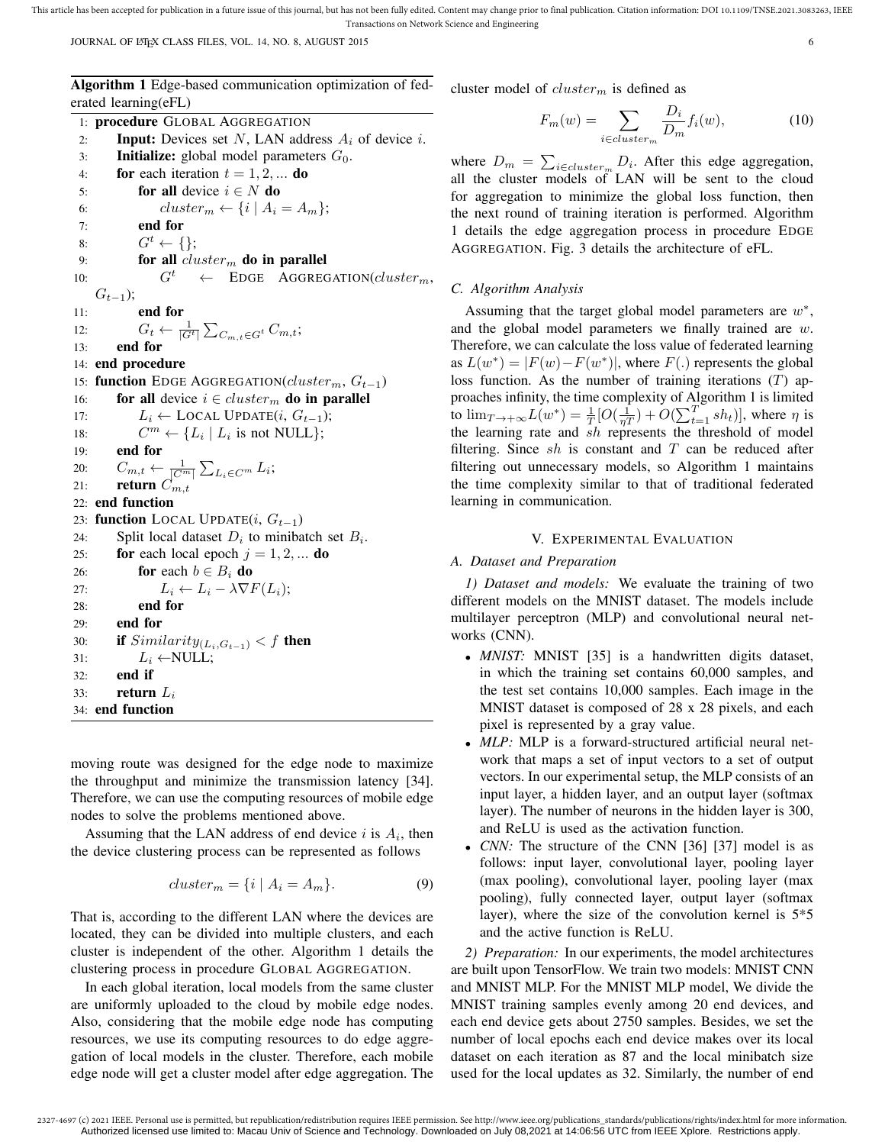JOURNAL OF LATEX CLASS FILES, VOL. 14, NO. 8, AUGUST 2015 6

Algorithm 1 Edge-based communication optimization of federated learning(eFL)

1: procedure GLOBAL AGGREGATION 2: **Input:** Devices set N, LAN address  $A_i$  of device i. 3: **Initialize:** global model parameters  $G_0$ . 4: **for** each iteration  $t = 1, 2, ...$  **do** 5: **for all** device  $i \in N$  do 6: cluster<sub>m</sub>  $\leftarrow \{i \mid A_i = A_m\};$ 7: end for 8:  $G^t \leftarrow \{\};$ 9: **for all** cluster<sub>m</sub> do in parallel<br>0:  $G^t \leftarrow \text{EDGE AGGREC}$ 10:  $G^t \leftarrow$  EDGE AGGREGATION(*cluster<sub>m</sub>*,  $G_{t-1}$ ); 11: end for 12:  $G_t \leftarrow \frac{1}{|G^t|} \sum_{C_{m,t} \in G^t} C_{m,t};$ 13: end for 14: end procedure 15: function EDGE AGGREGATION( $cluster_m, G_{t-1}$ ) 16: for all device  $i \in cluster_m$  do in parallel 17:  $L_i \leftarrow \text{LOCAL UPDATE}(i, G_{t-1});$ 18: C  $^{m} \leftarrow \{L_i \mid L_i \text{ is not NULL}\};$ 19: end for 20:  $C_{m,t} \leftarrow \frac{1}{|C^m|} \sum_{L_i \in C^m} L_i;$ 21: return  $C_{m,t}$ 22: end function 23: function LOCAL UPDATE $(i, G_{t-1})$ 24: Split local dataset  $D_i$  to minibatch set  $B_i$ . 25: **for** each local epoch  $j = 1, 2, ...$  **do** 26: **for** each  $b \in B_i$  **do** 27:  $L_i \leftarrow L_i - \lambda \nabla F(L_i);$ 28: end for 29: end for 30: **if**  $Similarity_{(L_i, G_{t-1})} < f$  then 31:  $L_i \leftarrow \text{NULL};$ 32: end if 33: return  $L_i$ 34: end function

moving route was designed for the edge node to maximize the throughput and minimize the transmission latency [34]. Therefore, we can use the computing resources of mobile edge nodes to solve the problems mentioned above.

Assuming that the LAN address of end device  $i$  is  $A_i$ , then the device clustering process can be represented as follows

$$
cluster_m = \{i \mid A_i = A_m\}.
$$
\n(9)

That is, according to the different LAN where the devices are located, they can be divided into multiple clusters, and each cluster is independent of the other. Algorithm 1 details the clustering process in procedure GLOBAL AGGREGATION.

In each global iteration, local models from the same cluster are uniformly uploaded to the cloud by mobile edge nodes. Also, considering that the mobile edge node has computing resources, we use its computing resources to do edge aggregation of local models in the cluster. Therefore, each mobile edge node will get a cluster model after edge aggregation. The cluster model of  $cluster_m$  is defined as

$$
F_m(w) = \sum_{i \in cluster_m} \frac{D_i}{D_m} f_i(w),\tag{10}
$$

where  $D_m = \sum_{i \in cluster_m} D_i$ . After this edge aggregation, all the cluster models of LAN will be sent to the cloud for aggregation to minimize the global loss function, then the next round of training iteration is performed. Algorithm 1 details the edge aggregation process in procedure EDGE AGGREGATION. Fig. 3 details the architecture of eFL.

#### *C. Algorithm Analysis*

Assuming that the target global model parameters are  $w^*$ , and the global model parameters we finally trained are w. Therefore, we can calculate the loss value of federated learning as  $L(w^*) = |F(w) - F(w^*)|$ , where  $F(.)$  represents the global loss function. As the number of training iterations  $(T)$  approaches infinity, the time complexity of Algorithm 1 is limited to  $\lim_{T \to +\infty} L(w^*) = \frac{1}{T} [O(\frac{1}{\eta T}) + O(\sum_{t=1}^{T} sh_t)],$  where  $\eta$  is the learning rate and  $sh$  represents the threshold of model filtering. Since  $sh$  is constant and  $T$  can be reduced after filtering out unnecessary models, so Algorithm 1 maintains the time complexity similar to that of traditional federated learning in communication.

## V. EXPERIMENTAL EVALUATION

#### *A. Dataset and Preparation*

*1) Dataset and models:* We evaluate the training of two different models on the MNIST dataset. The models include multilayer perceptron (MLP) and convolutional neural networks (CNN).

- *MNIST*: MNIST [35] is a handwritten digits dataset, in which the training set contains 60,000 samples, and the test set contains 10,000 samples. Each image in the MNIST dataset is composed of 28 x 28 pixels, and each pixel is represented by a gray value.
- *MLP*: MLP is a forward-structured artificial neural network that maps a set of input vectors to a set of output vectors. In our experimental setup, the MLP consists of an input layer, a hidden layer, and an output layer (softmax layer). The number of neurons in the hidden layer is 300, and ReLU is used as the activation function.
- *CNN:* The structure of the CNN [36] [37] model is as follows: input layer, convolutional layer, pooling layer (max pooling), convolutional layer, pooling layer (max pooling), fully connected layer, output layer (softmax layer), where the size of the convolution kernel is 5\*5 and the active function is ReLU.

*2) Preparation:* In our experiments, the model architectures are built upon TensorFlow. We train two models: MNIST CNN and MNIST MLP. For the MNIST MLP model, We divide the MNIST training samples evenly among 20 end devices, and each end device gets about 2750 samples. Besides, we set the number of local epochs each end device makes over its local dataset on each iteration as 87 and the local minibatch size used for the local updates as 32. Similarly, the number of end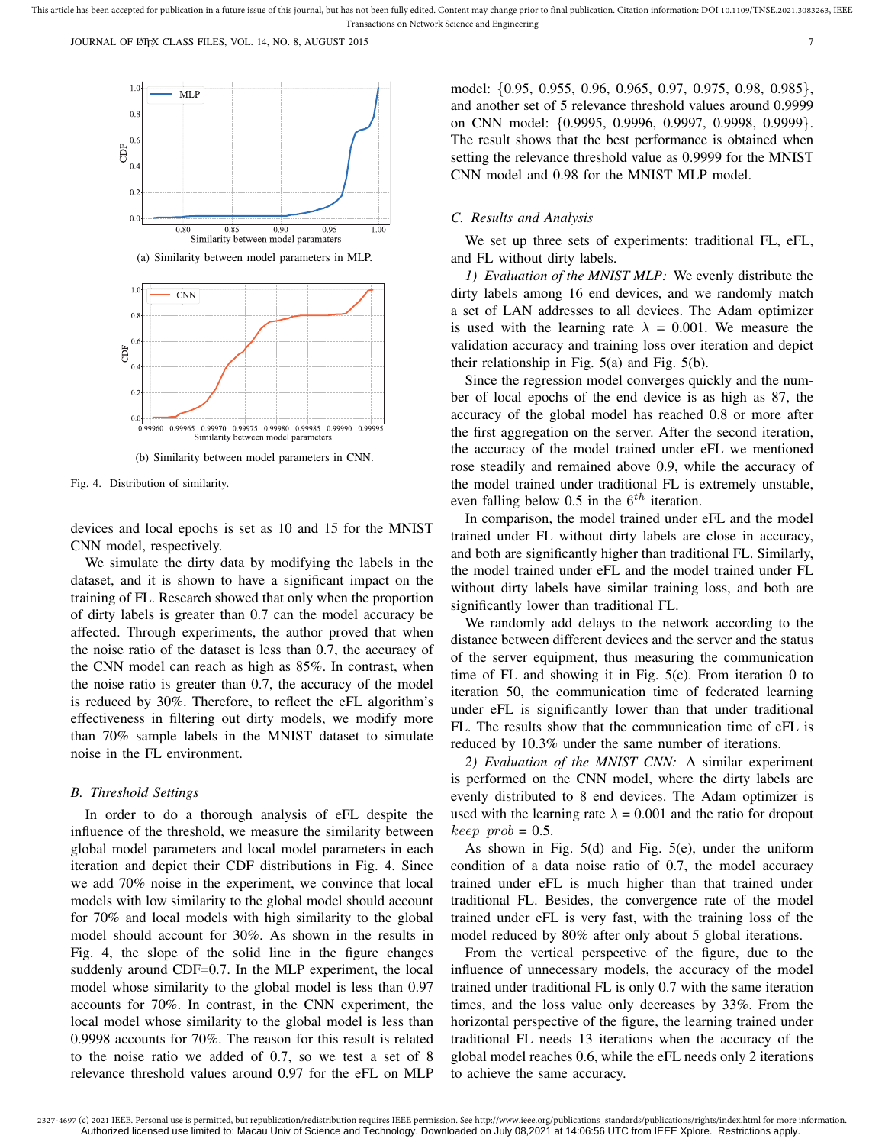JOURNAL OF LATEX CLASS FILES, VOL. 14, NO. 8, AUGUST 2015 7



(a) Similarity between model parameters in MLP.



(b) Similarity between model parameters in CNN.

Fig. 4. Distribution of similarity.

devices and local epochs is set as 10 and 15 for the MNIST CNN model, respectively.

We simulate the dirty data by modifying the labels in the dataset, and it is shown to have a significant impact on the training of FL. Research showed that only when the proportion of dirty labels is greater than 0.7 can the model accuracy be affected. Through experiments, the author proved that when the noise ratio of the dataset is less than 0.7, the accuracy of the CNN model can reach as high as 85%. In contrast, when the noise ratio is greater than 0.7, the accuracy of the model is reduced by 30%. Therefore, to reflect the eFL algorithm's effectiveness in filtering out dirty models, we modify more than 70% sample labels in the MNIST dataset to simulate noise in the FL environment.

#### *B. Threshold Settings*

In order to do a thorough analysis of eFL despite the influence of the threshold, we measure the similarity between global model parameters and local model parameters in each iteration and depict their CDF distributions in Fig. 4. Since we add 70% noise in the experiment, we convince that local models with low similarity to the global model should account for 70% and local models with high similarity to the global model should account for 30%. As shown in the results in Fig. 4, the slope of the solid line in the figure changes suddenly around CDF=0.7. In the MLP experiment, the local model whose similarity to the global model is less than 0.97 accounts for 70%. In contrast, in the CNN experiment, the local model whose similarity to the global model is less than 0.9998 accounts for 70%. The reason for this result is related to the noise ratio we added of 0.7, so we test a set of 8 relevance threshold values around 0.97 for the eFL on MLP

model: {0.95, 0.955, 0.96, 0.965, 0.97, 0.975, 0.98, 0.985}, and another set of 5 relevance threshold values around 0.9999 on CNN model: {0.9995, 0.9996, 0.9997, 0.9998, 0.9999}. The result shows that the best performance is obtained when setting the relevance threshold value as 0.9999 for the MNIST CNN model and 0.98 for the MNIST MLP model.

## *C. Results and Analysis*

We set up three sets of experiments: traditional FL, eFL, and FL without dirty labels.

*1) Evaluation of the MNIST MLP:* We evenly distribute the dirty labels among 16 end devices, and we randomly match a set of LAN addresses to all devices. The Adam optimizer is used with the learning rate  $\lambda = 0.001$ . We measure the validation accuracy and training loss over iteration and depict their relationship in Fig. 5(a) and Fig. 5(b).

Since the regression model converges quickly and the number of local epochs of the end device is as high as 87, the accuracy of the global model has reached 0.8 or more after the first aggregation on the server. After the second iteration, the accuracy of the model trained under eFL we mentioned rose steadily and remained above 0.9, while the accuracy of the model trained under traditional FL is extremely unstable, even falling below 0.5 in the  $6^{th}$  iteration.

In comparison, the model trained under eFL and the model trained under FL without dirty labels are close in accuracy, and both are significantly higher than traditional FL. Similarly, the model trained under eFL and the model trained under FL without dirty labels have similar training loss, and both are significantly lower than traditional FL.

We randomly add delays to the network according to the distance between different devices and the server and the status of the server equipment, thus measuring the communication time of FL and showing it in Fig. 5(c). From iteration 0 to iteration 50, the communication time of federated learning under eFL is significantly lower than that under traditional FL. The results show that the communication time of eFL is reduced by 10.3% under the same number of iterations.

*2) Evaluation of the MNIST CNN:* A similar experiment is performed on the CNN model, where the dirty labels are evenly distributed to 8 end devices. The Adam optimizer is used with the learning rate  $\lambda = 0.001$  and the ratio for dropout  $keep\_prob = 0.5$ .

As shown in Fig. 5(d) and Fig. 5(e), under the uniform condition of a data noise ratio of 0.7, the model accuracy trained under eFL is much higher than that trained under traditional FL. Besides, the convergence rate of the model trained under eFL is very fast, with the training loss of the model reduced by 80% after only about 5 global iterations.

From the vertical perspective of the figure, due to the influence of unnecessary models, the accuracy of the model trained under traditional FL is only 0.7 with the same iteration times, and the loss value only decreases by 33%. From the horizontal perspective of the figure, the learning trained under traditional FL needs 13 iterations when the accuracy of the global model reaches 0.6, while the eFL needs only 2 iterations to achieve the same accuracy.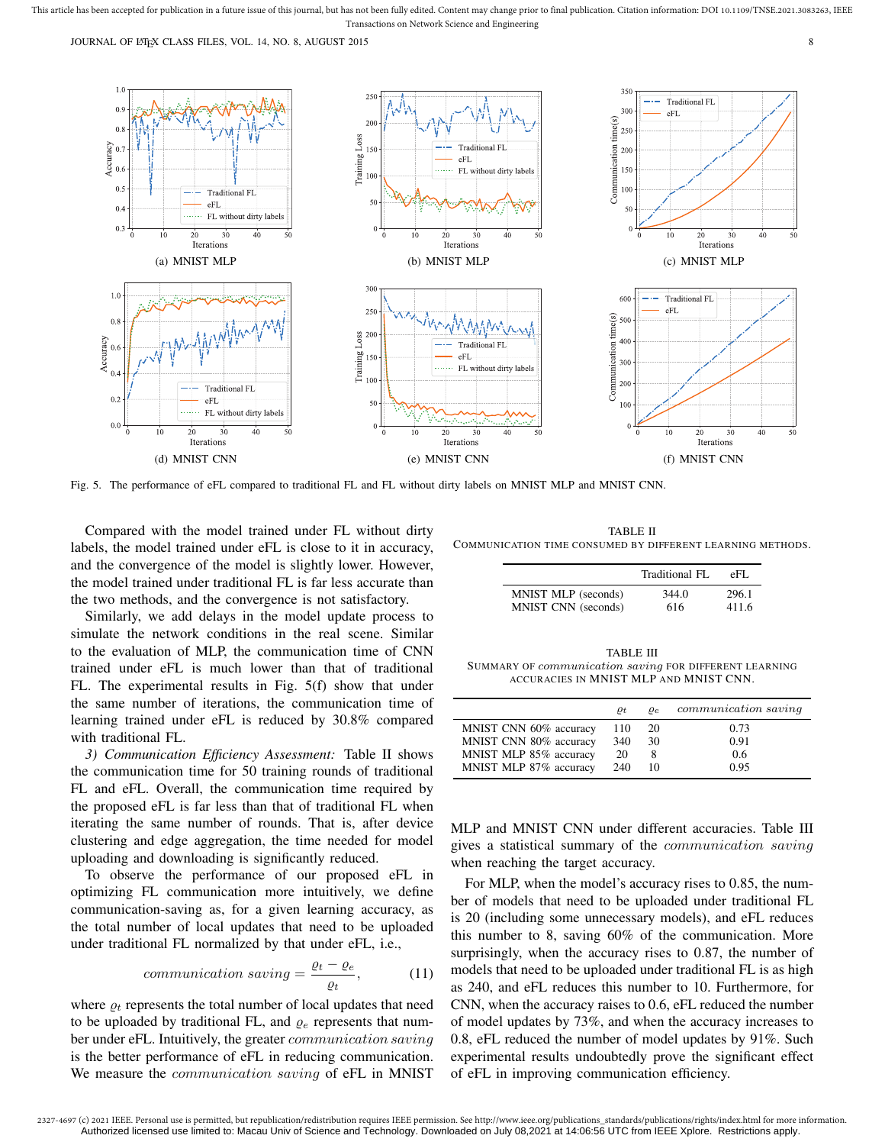JOURNAL OF LATEX CLASS FILES, VOL. 14, NO. 8, AUGUST 2015 8



Fig. 5. The performance of eFL compared to traditional FL and FL without dirty labels on MNIST MLP and MNIST CNN.

Compared with the model trained under FL without dirty labels, the model trained under eFL is close to it in accuracy, and the convergence of the model is slightly lower. However, the model trained under traditional FL is far less accurate than the two methods, and the convergence is not satisfactory.

Similarly, we add delays in the model update process to simulate the network conditions in the real scene. Similar to the evaluation of MLP, the communication time of CNN trained under eFL is much lower than that of traditional FL. The experimental results in Fig. 5(f) show that under the same number of iterations, the communication time of learning trained under eFL is reduced by 30.8% compared with traditional FL.

*3) Communication Efficiency Assessment:* Table II shows the communication time for 50 training rounds of traditional FL and eFL. Overall, the communication time required by the proposed eFL is far less than that of traditional FL when iterating the same number of rounds. That is, after device clustering and edge aggregation, the time needed for model uploading and downloading is significantly reduced.

To observe the performance of our proposed eFL in optimizing FL communication more intuitively, we define communication-saving as, for a given learning accuracy, as the total number of local updates that need to be uploaded under traditional FL normalized by that under eFL, i.e.,

$$
communication\ saving = \frac{\varrho_t - \varrho_e}{\varrho_t},\tag{11}
$$

where  $\rho_t$  represents the total number of local updates that need to be uploaded by traditional FL, and  $\rho_e$  represents that number under eFL. Intuitively, the greater communication saving is the better performance of eFL in reducing communication. We measure the *communication saving* of eFL in MNIST

TABLE II COMMUNICATION TIME CONSUMED BY DIFFERENT LEARNING METHODS.

|                     | Traditional FL | eFL.  |
|---------------------|----------------|-------|
| MNIST MLP (seconds) | 344.0          | 296.1 |
| MNIST CNN (seconds) | 616            | 411.6 |

TABLE III SUMMARY OF communication saving FOR DIFFERENT LEARNING ACCURACIES IN MNIST MLP AND MNIST CNN.

|                        | $\rho_t$ | $\rho_e$ | communication saving |
|------------------------|----------|----------|----------------------|
| MNIST CNN 60% accuracy | 110      | 20       | 0.73                 |
| MNIST CNN 80% accuracy | 340      | 30       | 0.91                 |
| MNIST MLP 85% accuracy | 20       | 8        | 0.6                  |
| MNIST MLP 87% accuracy | 240      | 10       | 0.95                 |

MLP and MNIST CNN under different accuracies. Table III gives a statistical summary of the communication saving when reaching the target accuracy.

For MLP, when the model's accuracy rises to 0.85, the number of models that need to be uploaded under traditional FL is 20 (including some unnecessary models), and eFL reduces this number to 8, saving 60% of the communication. More surprisingly, when the accuracy rises to 0.87, the number of models that need to be uploaded under traditional FL is as high as 240, and eFL reduces this number to 10. Furthermore, for CNN, when the accuracy raises to 0.6, eFL reduced the number of model updates by 73%, and when the accuracy increases to 0.8, eFL reduced the number of model updates by 91%. Such experimental results undoubtedly prove the significant effect of eFL in improving communication efficiency.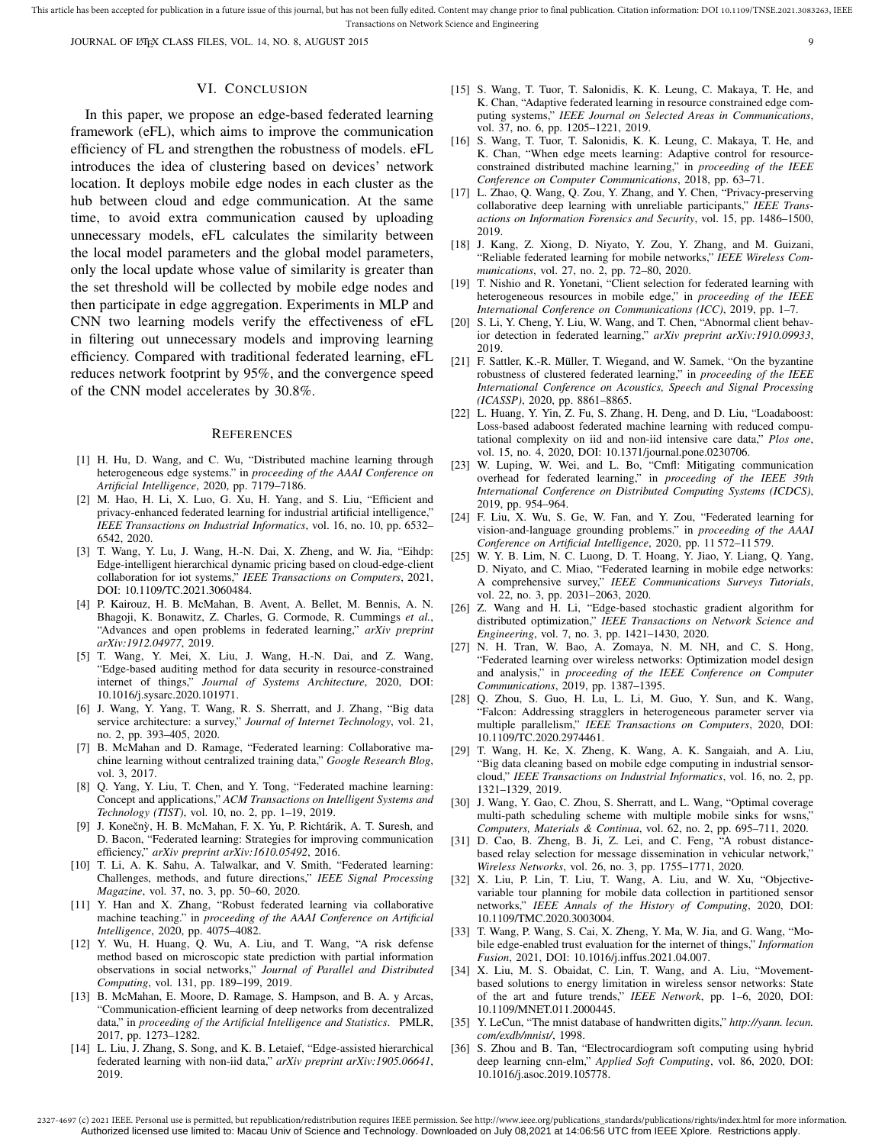JOURNAL OF LATEX CLASS FILES, VOL. 14, NO. 8, AUGUST 2015 99

#### VI. CONCLUSION

In this paper, we propose an edge-based federated learning framework (eFL), which aims to improve the communication efficiency of FL and strengthen the robustness of models. eFL introduces the idea of clustering based on devices' network location. It deploys mobile edge nodes in each cluster as the hub between cloud and edge communication. At the same time, to avoid extra communication caused by uploading unnecessary models, eFL calculates the similarity between the local model parameters and the global model parameters, only the local update whose value of similarity is greater than the set threshold will be collected by mobile edge nodes and then participate in edge aggregation. Experiments in MLP and CNN two learning models verify the effectiveness of eFL in filtering out unnecessary models and improving learning efficiency. Compared with traditional federated learning, eFL reduces network footprint by 95%, and the convergence speed of the CNN model accelerates by 30.8%.

#### **REFERENCES**

- [1] H. Hu, D. Wang, and C. Wu, "Distributed machine learning through heterogeneous edge systems." in *proceeding of the AAAI Conference on Artificial Intelligence*, 2020, pp. 7179–7186.
- [2] M. Hao, H. Li, X. Luo, G. Xu, H. Yang, and S. Liu, "Efficient and privacy-enhanced federated learning for industrial artificial intelligence," *IEEE Transactions on Industrial Informatics*, vol. 16, no. 10, pp. 6532– 6542, 2020.
- [3] T. Wang, Y. Lu, J. Wang, H.-N. Dai, X. Zheng, and W. Jia, "Eihdp: Edge-intelligent hierarchical dynamic pricing based on cloud-edge-client collaboration for iot systems," *IEEE Transactions on Computers*, 2021, DOI: 10.1109/TC.2021.3060484.
- [4] P. Kairouz, H. B. McMahan, B. Avent, A. Bellet, M. Bennis, A. N. Bhagoji, K. Bonawitz, Z. Charles, G. Cormode, R. Cummings *et al.*, "Advances and open problems in federated learning," *arXiv preprint arXiv:1912.04977*, 2019.
- [5] T. Wang, Y. Mei, X. Liu, J. Wang, H.-N. Dai, and Z. Wang, "Edge-based auditing method for data security in resource-constrained internet of things," *Journal of Systems Architecture*, 2020, DOI: 10.1016/j.sysarc.2020.101971.
- [6] J. Wang, Y. Yang, T. Wang, R. S. Sherratt, and J. Zhang, "Big data service architecture: a survey," *Journal of Internet Technology*, vol. 21, no. 2, pp. 393–405, 2020.
- [7] B. McMahan and D. Ramage, "Federated learning: Collaborative machine learning without centralized training data," *Google Research Blog*, vol. 3, 2017.
- [8] Q. Yang, Y. Liu, T. Chen, and Y. Tong, "Federated machine learning: Concept and applications," *ACM Transactions on Intelligent Systems and Technology (TIST)*, vol. 10, no. 2, pp. 1–19, 2019.
- [9] J. Konečnỳ, H. B. McMahan, F. X. Yu, P. Richtárik, A. T. Suresh, and D. Bacon, "Federated learning: Strategies for improving communication efficiency," *arXiv preprint arXiv:1610.05492*, 2016.
- [10] T. Li, A. K. Sahu, A. Talwalkar, and V. Smith, "Federated learning: Challenges, methods, and future directions," *IEEE Signal Processing Magazine*, vol. 37, no. 3, pp. 50–60, 2020.
- [11] Y. Han and X. Zhang, "Robust federated learning via collaborative machine teaching." in *proceeding of the AAAI Conference on Artificial Intelligence*, 2020, pp. 4075–4082.
- [12] Y. Wu, H. Huang, Q. Wu, A. Liu, and T. Wang, "A risk defense method based on microscopic state prediction with partial information observations in social networks," *Journal of Parallel and Distributed Computing*, vol. 131, pp. 189–199, 2019.
- [13] B. McMahan, E. Moore, D. Ramage, S. Hampson, and B. A. y Arcas, "Communication-efficient learning of deep networks from decentralized data," in *proceeding of the Artificial Intelligence and Statistics*. PMLR, 2017, pp. 1273–1282.
- [14] L. Liu, J. Zhang, S. Song, and K. B. Letaief, "Edge-assisted hierarchical federated learning with non-iid data," *arXiv preprint arXiv:1905.06641*, 2019.
- [15] S. Wang, T. Tuor, T. Salonidis, K. K. Leung, C. Makaya, T. He, and K. Chan, "Adaptive federated learning in resource constrained edge computing systems," *IEEE Journal on Selected Areas in Communications*, vol. 37, no. 6, pp. 1205–1221, 2019.
- [16] S. Wang, T. Tuor, T. Salonidis, K. K. Leung, C. Makaya, T. He, and K. Chan, "When edge meets learning: Adaptive control for resourceconstrained distributed machine learning," in *proceeding of the IEEE Conference on Computer Communications*, 2018, pp. 63–71.
- [17] L. Zhao, Q. Wang, Q. Zou, Y. Zhang, and Y. Chen, "Privacy-preserving collaborative deep learning with unreliable participants," *IEEE Transactions on Information Forensics and Security*, vol. 15, pp. 1486–1500, 2019.
- [18] J. Kang, Z. Xiong, D. Niyato, Y. Zou, Y. Zhang, and M. Guizani, "Reliable federated learning for mobile networks," *IEEE Wireless Communications*, vol. 27, no. 2, pp. 72–80, 2020.
- [19] T. Nishio and R. Yonetani, "Client selection for federated learning with heterogeneous resources in mobile edge," in *proceeding of the IEEE International Conference on Communications (ICC)*, 2019, pp. 1–7.
- [20] S. Li, Y. Cheng, Y. Liu, W. Wang, and T. Chen, "Abnormal client behavior detection in federated learning," *arXiv preprint arXiv:1910.09933*, 2019.
- [21] F. Sattler, K.-R. Müller, T. Wiegand, and W. Samek, "On the byzantine robustness of clustered federated learning," in *proceeding of the IEEE International Conference on Acoustics, Speech and Signal Processing (ICASSP)*, 2020, pp. 8861–8865.
- [22] L. Huang, Y. Yin, Z. Fu, S. Zhang, H. Deng, and D. Liu, "Loadaboost: Loss-based adaboost federated machine learning with reduced computational complexity on iid and non-iid intensive care data," *Plos one*, vol. 15, no. 4, 2020, DOI: 10.1371/journal.pone.0230706.
- [23] W. Luping, W. Wei, and L. Bo, "Cmfl: Mitigating communication overhead for federated learning," in *proceeding of the IEEE 39th International Conference on Distributed Computing Systems (ICDCS)*, 2019, pp. 954–964.
- [24] F. Liu, X. Wu, S. Ge, W. Fan, and Y. Zou, "Federated learning for vision-and-language grounding problems." in *proceeding of the AAAI Conference on Artificial Intelligence*, 2020, pp. 11 572–11 579.
- [25] W. Y. B. Lim, N. C. Luong, D. T. Hoang, Y. Jiao, Y. Liang, Q. Yang, D. Niyato, and C. Miao, "Federated learning in mobile edge networks: A comprehensive survey," *IEEE Communications Surveys Tutorials*, vol. 22, no. 3, pp. 2031–2063, 2020.
- [26] Z. Wang and H. Li, "Edge-based stochastic gradient algorithm for distributed optimization," *IEEE Transactions on Network Science and Engineering*, vol. 7, no. 3, pp. 1421–1430, 2020.
- [27] N. H. Tran, W. Bao, A. Zomaya, N. M. NH, and C. S. Hong, "Federated learning over wireless networks: Optimization model design and analysis," in *proceeding of the IEEE Conference on Computer Communications*, 2019, pp. 1387–1395.
- [28] Q. Zhou, S. Guo, H. Lu, L. Li, M. Guo, Y. Sun, and K. Wang, "Falcon: Addressing stragglers in heterogeneous parameter server via multiple parallelism," *IEEE Transactions on Computers*, 2020, DOI: 10.1109/TC.2020.2974461.
- [29] T. Wang, H. Ke, X. Zheng, K. Wang, A. K. Sangaiah, and A. Liu, "Big data cleaning based on mobile edge computing in industrial sensorcloud," *IEEE Transactions on Industrial Informatics*, vol. 16, no. 2, pp. 1321–1329, 2019.
- [30] J. Wang, Y. Gao, C. Zhou, S. Sherratt, and L. Wang, "Optimal coverage multi-path scheduling scheme with multiple mobile sinks for wsns," *Computers, Materials & Continua*, vol. 62, no. 2, pp. 695–711, 2020.
- [31] D. Cao, B. Zheng, B. Ji, Z. Lei, and C. Feng, "A robust distancebased relay selection for message dissemination in vehicular network," *Wireless Networks*, vol. 26, no. 3, pp. 1755–1771, 2020.
- [32] X. Liu, P. Lin, T. Liu, T. Wang, A. Liu, and W. Xu, "Objectivevariable tour planning for mobile data collection in partitioned sensor networks," *IEEE Annals of the History of Computing*, 2020, DOI: 10.1109/TMC.2020.3003004.
- [33] T. Wang, P. Wang, S. Cai, X. Zheng, Y. Ma, W. Jia, and G. Wang, "Mobile edge-enabled trust evaluation for the internet of things," *Information Fusion*, 2021, DOI: 10.1016/j.inffus.2021.04.007.
- [34] X. Liu, M. S. Obaidat, C. Lin, T. Wang, and A. Liu, "Movementbased solutions to energy limitation in wireless sensor networks: State of the art and future trends," *IEEE Network*, pp. 1–6, 2020, DOI: 10.1109/MNET.011.2000445.
- [35] Y. LeCun, "The mnist database of handwritten digits," *http://yann. lecun. com/exdb/mnist/*, 1998.
- [36] S. Zhou and B. Tan, "Electrocardiogram soft computing using hybrid deep learning cnn-elm," *Applied Soft Computing*, vol. 86, 2020, DOI: 10.1016/j.asoc.2019.105778.